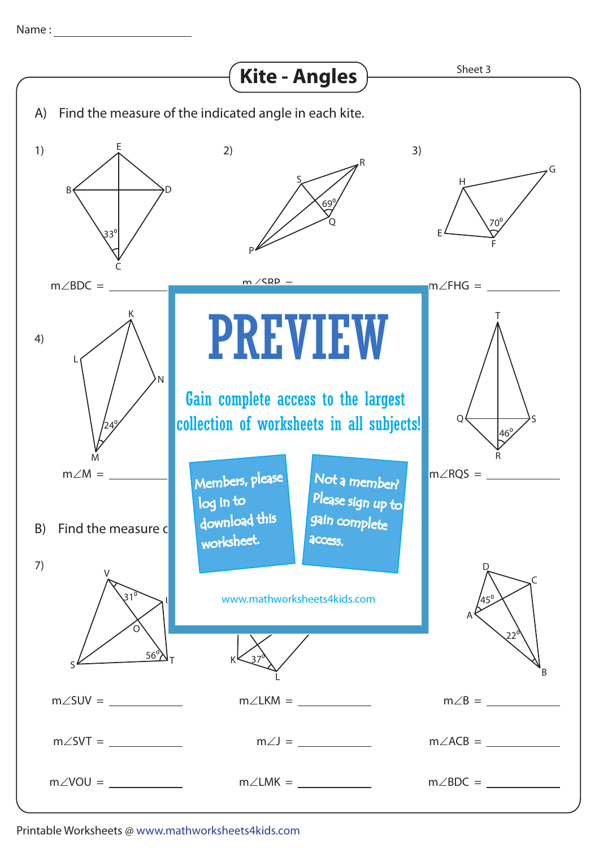